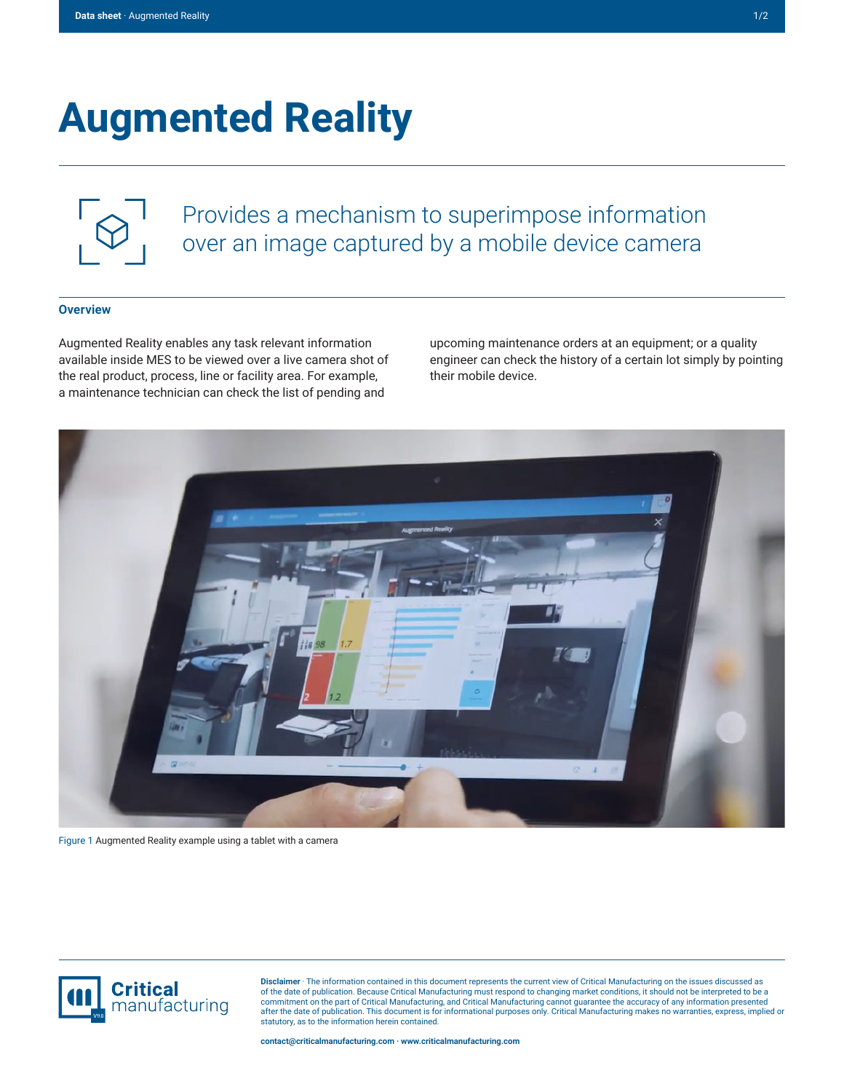## **Augmented Reality**



Provides a mechanism to superimpose information over an image captured by a mobile device camera

## **Overview**

Augmented Reality enables any task relevant information available inside MES to be viewed over a live camera shot of the real product, process, line or facility area. For example, a maintenance technician can check the list of pending and

upcoming maintenance orders at an equipment; or a quality engineer can check the history of a certain lot simply by pointing their mobile device.



Figure 1 Augmented Reality example using a tablet with a camera



**Disclaimer** · The information contained in this document represents the current view of Critical Manufacturing on the issues discussed as of the date of publication. Because Critical Manufacturing must respond to changing market conditions, it should not be interpreted to be a<br>commitment on the part of Critical Manufacturing, and Critical Manufacturing canno statutory, as to the information herein contained.